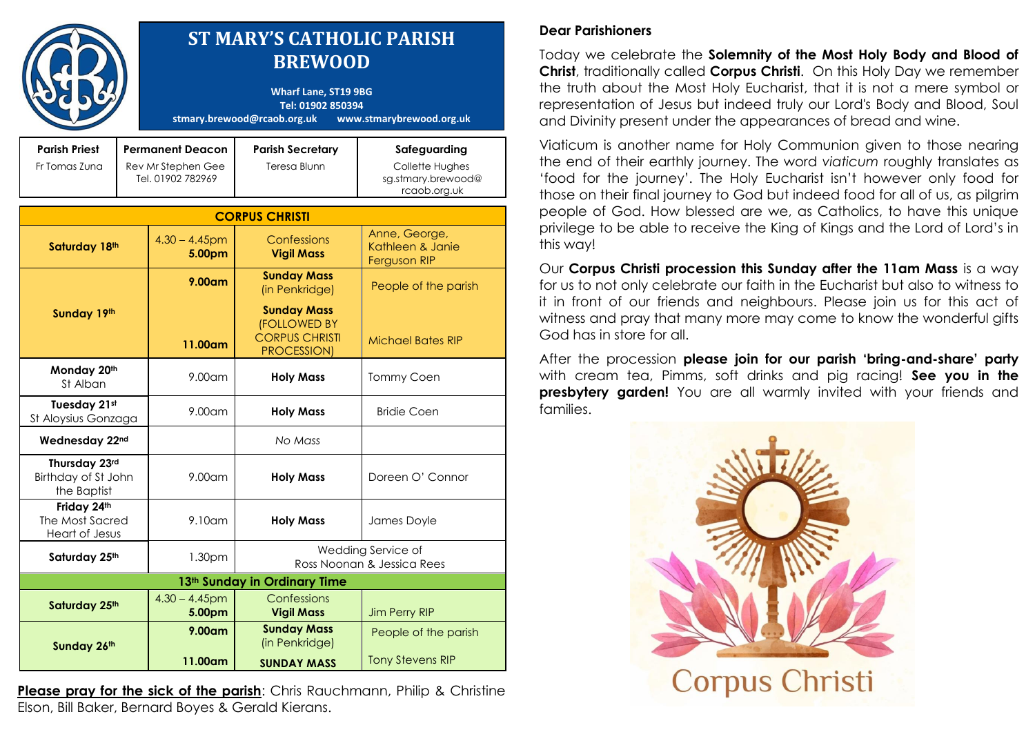|                                                     |                                                                    |                            | <b>ST MARY'S CATHOLIC PARISH</b><br><b>BREWOOD</b><br><b>Wharf Lane, ST19 9BG</b><br>Tel: 01902 850394<br>stmary.brewood@rcaob.org.uk | www.stmarybrewood.org.uk                                              |
|-----------------------------------------------------|--------------------------------------------------------------------|----------------------------|---------------------------------------------------------------------------------------------------------------------------------------|-----------------------------------------------------------------------|
| <b>Parish Priest</b><br>Fr Tomas Zuna               | <b>Permanent Deacon</b><br>Rev Mr Stephen Gee<br>Tel. 01902 782969 |                            | <b>Parish Secretary</b><br>Teresa Blunn                                                                                               | Safeguarding<br>Collette Hughes<br>sg.stmary.brewood@<br>rcaob.org.uk |
|                                                     |                                                                    |                            | <b>CORPUS CHRISTI</b>                                                                                                                 |                                                                       |
| Saturday 18th                                       |                                                                    | $4.30 - 4.45$ pm<br>5.00pm | Confessions<br><b>Vigil Mass</b>                                                                                                      | Anne, George,<br>Kathleen & Janie<br>Ferguson RIP                     |
| Sunday 19th                                         |                                                                    | $9.00$ am                  | <b>Sunday Mass</b><br>(in Penkridge)                                                                                                  | People of the parish                                                  |
|                                                     |                                                                    | 11.00am                    | <b>Sunday Mass</b><br><b>(FOLLOWED BY</b><br><b>CORPUS CHRISTI</b><br>PROCESSION)                                                     | <b>Michael Bates RIP</b>                                              |
| Monday 20th<br>St Alban                             |                                                                    | $9.00$ am                  | <b>Holy Mass</b>                                                                                                                      | Tommy Coen                                                            |
| Tuesday 21st<br>St Aloysius Gonzaga                 |                                                                    | 9.00am                     | <b>Holy Mass</b>                                                                                                                      | <b>Bridie Coen</b>                                                    |
| Wednesday 22nd                                      |                                                                    |                            | No Mass                                                                                                                               |                                                                       |
| Thursday 23rd<br>Birthday of St John<br>the Baptist |                                                                    | 9.00am                     | <b>Holy Mass</b>                                                                                                                      | Doreen O' Connor                                                      |
| Friday 24th<br>The Most Sacred<br>Heart of Jesus    |                                                                    | $9.10$ am                  | <b>Holy Mass</b>                                                                                                                      | James Doyle                                                           |
| Saturday 25th                                       |                                                                    | 1.30pm                     | Wedding Service of<br>Ross Noonan & Jessica Rees                                                                                      |                                                                       |
|                                                     |                                                                    |                            | 13 <sup>th</sup> Sunday in Ordinary Time                                                                                              |                                                                       |
| Saturday 25th                                       |                                                                    | $4.30 - 4.45$ pm<br>5.00pm | Confessions<br><b>Vigil Mass</b>                                                                                                      | <b>Jim Perry RIP</b>                                                  |
| Sunday 26th                                         |                                                                    | $9.00$ am                  | <b>Sunday Mass</b><br>(in Penkridge)                                                                                                  | People of the parish                                                  |
|                                                     |                                                                    | 11.00am                    | <b>SUNDAY MASS</b>                                                                                                                    | <b>Tony Stevens RIP</b>                                               |

**Please pray for the sick of the parish:** Chris Rauchmann, Philip & Christine Elson, Bill Baker, Bernard Boyes & Gerald Kierans.

## **Dear Parishioners**

Today we celebrate the **Solemnity of the Most Holy Body and Blood of Christ**, traditionally called **Corpus Christi**. On this Holy Day we remember the truth about the Most Holy Eucharist, that it is not a mere symbol or representation of Jesus but indeed truly our Lord's Body and Blood, Soul and Divinity present under the appearances of bread and wine.

Viaticum is another name for Holy Communion given to those nearing the end of their earthly journey. The word *viaticum* roughly translates as 'food for the journey'. The Holy Eucharist isn't however only food for those on their final journey to God but indeed food for all of us, as pilgrim people of God. How blessed are we, as Catholics, to have this unique privilege to be able to receive the King of Kings and the Lord of Lord's in this way!

Our **Corpus Christi procession this Sunday after the 11am Mass** is a way for us to not only celebrate our faith in the Eucharist but also to witness to it in front of our friends and neighbours. Please join us for this act of witness and pray that many more may come to know the wonderful gifts God has in store for all.

After the procession **please join for our parish 'bring-and-share' party** with cream tea, Pimms, soft drinks and pig racing! **See you in the presbytery garden!** You are all warmly invited with your friends and families.